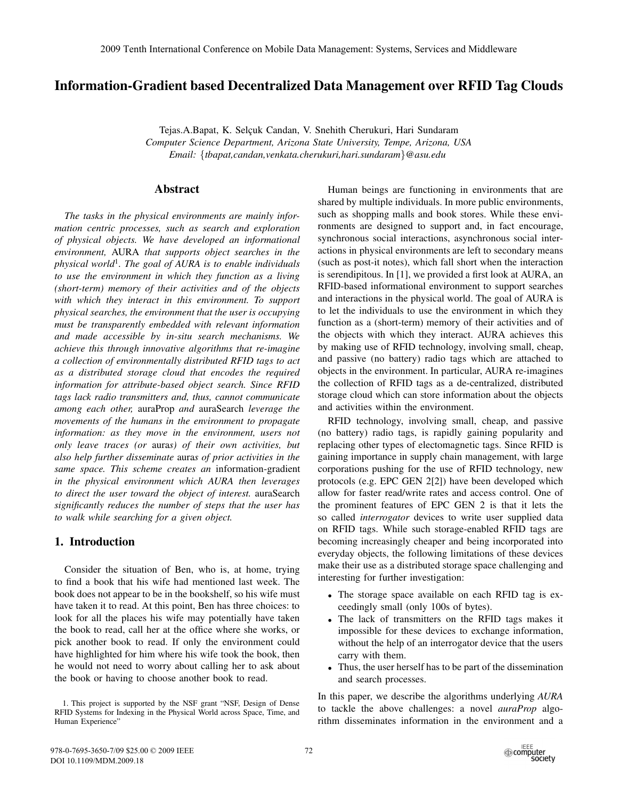# **Information-Gradient based Decentralized Data Management over RFID Tag Clouds**

Tejas.A.Bapat, K. Selçuk Candan, V. Snehith Cherukuri, Hari Sundaram *Computer Science Department, Arizona State University, Tempe, Arizona, USA Email:* {*tbapat,candan,venkata.cherukuri,hari.sundaram*}*@asu.edu*

# **Abstract**

*The tasks in the physical environments are mainly information centric processes, such as search and exploration of physical objects. We have developed an informational environment,* AURA *that supports object searches in the physical world*1*. The goal of AURA is to enable individuals to use the environment in which they function as a living (short-term) memory of their activities and of the objects with which they interact in this environment. To support physical searches, the environment that the user is occupying must be transparently embedded with relevant information and made accessible by in-situ search mechanisms. We achieve this through innovative algorithms that re-imagine a collection of environmentally distributed RFID tags to act as a distributed storage cloud that encodes the required information for attribute-based object search. Since RFID tags lack radio transmitters and, thus, cannot communicate among each other,* auraProp *and* auraSearch *leverage the movements of the humans in the environment to propagate information: as they move in the environment, users not only leave traces (or* aura*s) of their own activities, but also help further disseminate* aura*s of prior activities in the same space. This scheme creates an* information-gradient *in the physical environment which AURA then leverages to direct the user toward the object of interest.* auraSearch *significantly reduces the number of steps that the user has to walk while searching for a given object.*

# **1. Introduction**

Consider the situation of Ben, who is, at home, trying to find a book that his wife had mentioned last week. The book does not appear to be in the bookshelf, so his wife must have taken it to read. At this point, Ben has three choices: to look for all the places his wife may potentially have taken the book to read, call her at the office where she works, or pick another book to read. If only the environment could have highlighted for him where his wife took the book, then he would not need to worry about calling her to ask about the book or having to choose another book to read.

Human beings are functioning in environments that are shared by multiple individuals. In more public environments, such as shopping malls and book stores. While these environments are designed to support and, in fact encourage, synchronous social interactions, asynchronous social interactions in physical environments are left to secondary means (such as post-it notes), which fall short when the interaction is serendipitous. In [1], we provided a first look at AURA, an RFID-based informational environment to support searches and interactions in the physical world. The goal of AURA is to let the individuals to use the environment in which they function as a (short-term) memory of their activities and of the objects with which they interact. AURA achieves this by making use of RFID technology, involving small, cheap, and passive (no battery) radio tags which are attached to objects in the environment. In particular, AURA re-imagines the collection of RFID tags as a de-centralized, distributed storage cloud which can store information about the objects and activities within the environment.

RFID technology, involving small, cheap, and passive (no battery) radio tags, is rapidly gaining popularity and replacing other types of electomagnetic tags. Since RFID is gaining importance in supply chain management, with large corporations pushing for the use of RFID technology, new protocols (e.g. EPC GEN 2[2]) have been developed which allow for faster read/write rates and access control. One of the prominent features of EPC GEN 2 is that it lets the so called *interrogator* devices to write user supplied data on RFID tags. While such storage-enabled RFID tags are becoming increasingly cheaper and being incorporated into everyday objects, the following limitations of these devices make their use as a distributed storage space challenging and interesting for further investigation:

- The storage space available on each RFID tag is exceedingly small (only 100s of bytes).
- The lack of transmitters on the RFID tags makes it impossible for these devices to exchange information, without the help of an interrogator device that the users carry with them.
- Thus, the user herself has to be part of the dissemination and search processes.

In this paper, we describe the algorithms underlying *AURA* to tackle the above challenges: a novel *auraProp* algorithm disseminates information in the environment and a

<sup>1.</sup> This project is supported by the NSF grant "NSF, Design of Dense RFID Systems for Indexing in the Physical World across Space, Time, and Human Experience"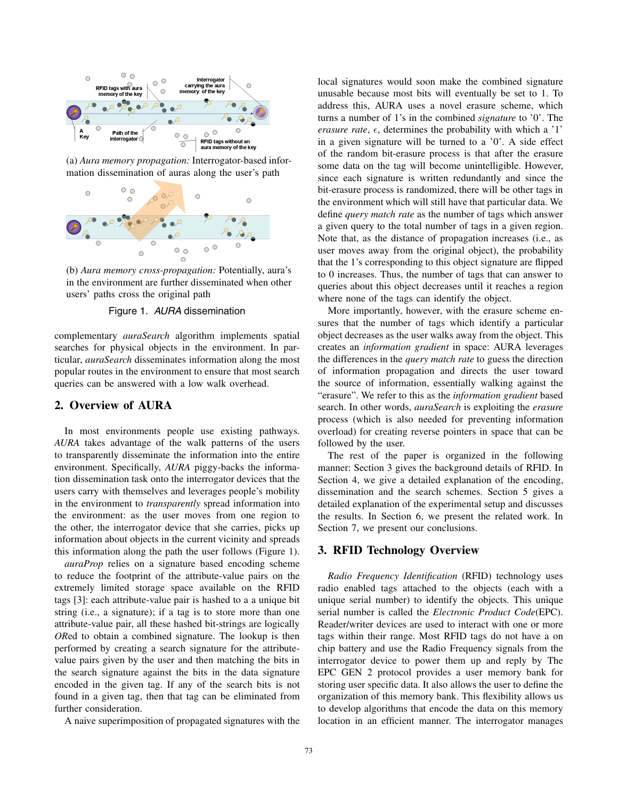

(a) *Aura memory propagation:* Interrogator-based information dissemination of auras along the user's path



(b) *Aura memory cross-propagation:* Potentially, aura's in the environment are further disseminated when other users' paths cross the original path

# Figure 1. AURA dissemination

complementary *auraSearch* algorithm implements spatial searches for physical objects in the environment. In particular, *auraSearch* disseminates information along the most popular routes in the environment to ensure that most search queries can be answered with a low walk overhead.

# **2. Overview of AURA**

In most environments people use existing pathways. *AURA* takes advantage of the walk patterns of the users to transparently disseminate the information into the entire environment. Specifically, *AURA* piggy-backs the information dissemination task onto the interrogator devices that the users carry with themselves and leverages people's mobility in the environment to *transparently* spread information into the environment: as the user moves from one region to the other, the interrogator device that she carries, picks up information about objects in the current vicinity and spreads this information along the path the user follows (Figure 1).

*auraProp* relies on a signature based encoding scheme to reduce the footprint of the attribute-value pairs on the extremely limited storage space available on the RFID tags [3]: each attribute-value pair is hashed to a a unique bit string (i.e., a signature); if a tag is to store more than one attribute-value pair, all these hashed bit-strings are logically *OR*ed to obtain a combined signature. The lookup is then performed by creating a search signature for the attributevalue pairs given by the user and then matching the bits in the search signature against the bits in the data signature encoded in the given tag. If any of the search bits is not found in a given tag, then that tag can be eliminated from further consideration.

A naive superimposition of propagated signatures with the

local signatures would soon make the combined signature unusable because most bits will eventually be set to 1. To address this, AURA uses a novel erasure scheme, which turns a number of 1's in the combined *signature* to '0'. The *erasure rate*,  $\epsilon$ , determines the probability with which a '1' in a given signature will be turned to a '0'. A side effect of the random bit-erasure process is that after the erasure some data on the tag will become unintelligible. However, since each signature is written redundantly and since the bit-erasure process is randomized, there will be other tags in the environment which will still have that particular data. We define *query match rate* as the number of tags which answer a given query to the total number of tags in a given region. Note that, as the distance of propagation increases (i.e., as user moves away from the original object), the probability that the 1's corresponding to this object signature are flipped to 0 increases. Thus, the number of tags that can answer to queries about this object decreases until it reaches a region where none of the tags can identify the object.

More importantly, however, with the erasure scheme ensures that the number of tags which identify a particular object decreases as the user walks away from the object. This creates an *information gradient* in space: AURA leverages the differences in the *query match rate* to guess the direction of information propagation and directs the user toward the source of information, essentially walking against the "erasure". We refer to this as the *information gradient* based search. In other words, *auraSearch* is exploiting the *erasure* process (which is also needed for preventing information overload) for creating reverse pointers in space that can be followed by the user.

The rest of the paper is organized in the following manner: Section 3 gives the background details of RFID. In Section 4, we give a detailed explanation of the encoding, dissemination and the search schemes. Section 5 gives a detailed explanation of the experimental setup and discusses the results. In Section 6, we present the related work. In Section 7, we present our conclusions.

# **3. RFID Technology Overview**

*Radio Frequency Identification* (RFID) technology uses radio enabled tags attached to the objects (each with a unique serial number) to identify the objects. This unique serial number is called the *Electronic Product Code*(EPC). Reader/writer devices are used to interact with one or more tags within their range. Most RFID tags do not have a on chip battery and use the Radio Frequency signals from the interrogator device to power them up and reply by The EPC GEN 2 protocol provides a user memory bank for storing user specific data. It also allows the user to define the organization of this memory bank. This flexibility allows us to develop algorithms that encode the data on this memory location in an efficient manner. The interrogator manages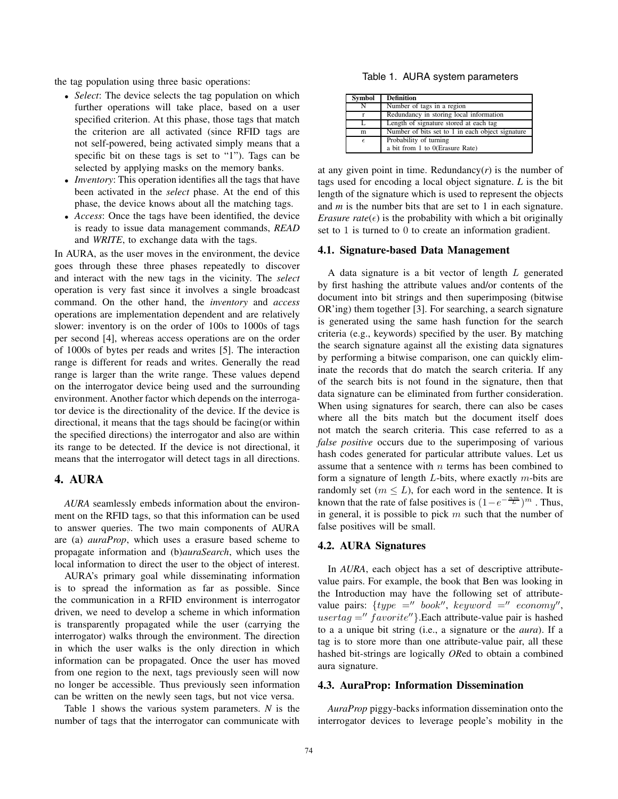the tag population using three basic operations:

- *Select*: The device selects the tag population on which further operations will take place, based on a user specified criterion. At this phase, those tags that match the criterion are all activated (since RFID tags are not self-powered, being activated simply means that a specific bit on these tags is set to "1"). Tags can be selected by applying masks on the memory banks.
- *Inventory*: This operation identifies all the tags that have been activated in the *select* phase. At the end of this phase, the device knows about all the matching tags.
- *Access*: Once the tags have been identified, the device is ready to issue data management commands, *READ* and *WRITE*, to exchange data with the tags.

In AURA, as the user moves in the environment, the device goes through these three phases repeatedly to discover and interact with the new tags in the vicinity. The *select* operation is very fast since it involves a single broadcast command. On the other hand, the *inventory* and *access* operations are implementation dependent and are relatively slower: inventory is on the order of 100s to 1000s of tags per second [4], whereas access operations are on the order of 1000s of bytes per reads and writes [5]. The interaction range is different for reads and writes. Generally the read range is larger than the write range. These values depend on the interrogator device being used and the surrounding environment. Another factor which depends on the interrogator device is the directionality of the device. If the device is directional, it means that the tags should be facing(or within the specified directions) the interrogator and also are within its range to be detected. If the device is not directional, it means that the interrogator will detect tags in all directions.

# **4. AURA**

*AURA* seamlessly embeds information about the environment on the RFID tags, so that this information can be used to answer queries. The two main components of AURA are (a) *auraProp*, which uses a erasure based scheme to propagate information and (b)*auraSearch*, which uses the local information to direct the user to the object of interest.

AURA's primary goal while disseminating information is to spread the information as far as possible. Since the communication in a RFID environment is interrogator driven, we need to develop a scheme in which information is transparently propagated while the user (carrying the interrogator) walks through the environment. The direction in which the user walks is the only direction in which information can be propagated. Once the user has moved from one region to the next, tags previously seen will now no longer be accessible. Thus previously seen information can be written on the newly seen tags, but not vice versa.

Table 1 shows the various system parameters. *N* is the number of tags that the interrogator can communicate with

Table 1. AURA system parameters

| Symbol     | <b>Definition</b>                                             |
|------------|---------------------------------------------------------------|
| N          | Number of tags in a region                                    |
| r          | Redundancy in storing local information                       |
|            | Length of signature stored at each tag                        |
| m          | Number of bits set to $\overline{1}$ in each object signature |
| $\epsilon$ | Probability of turning                                        |
|            | a bit from 1 to 0(Erasure Rate)                               |

at any given point in time. Redundancy $(r)$  is the number of tags used for encoding a local object signature. *L* is the bit length of the signature which is used to represent the objects and *m* is the number bits that are set to 1 in each signature. *Erasure rate*( $\epsilon$ ) is the probability with which a bit originally set to 1 is turned to 0 to create an information gradient.

### **4.1. Signature-based Data Management**

A data signature is a bit vector of length L generated by first hashing the attribute values and/or contents of the document into bit strings and then superimposing (bitwise OR'ing) them together [3]. For searching, a search signature is generated using the same hash function for the search criteria (e.g., keywords) specified by the user. By matching the search signature against all the existing data signatures by performing a bitwise comparison, one can quickly eliminate the records that do match the search criteria. If any of the search bits is not found in the signature, then that data signature can be eliminated from further consideration. When using signatures for search, there can also be cases where all the bits match but the document itself does not match the search criteria. This case referred to as a *false positive* occurs due to the superimposing of various hash codes generated for particular attribute values. Let us assume that a sentence with  $n$  terms has been combined to form a signature of length  $L$ -bits, where exactly  $m$ -bits are randomly set  $(m \leq L)$ , for each word in the sentence. It is known that the rate of false positives is  $(1-e^{-\frac{nm}{L}})^m$ . Thus, in general, it is possible to pick  $m$  such that the number of false positives will be small.

### **4.2. AURA Signatures**

In *AURA*, each object has a set of descriptive attributevalue pairs. For example, the book that Ben was looking in the Introduction may have the following set of attributevalue pairs:  $\{type = "book", keyword = "economy",\}$  $\textit{usertag} ='' \textit{favorite}$ ''}.Each attribute-value pair is hashed to a a unique bit string (i.e., a signature or the *aura*). If a tag is to store more than one attribute-value pair, all these hashed bit-strings are logically *OR*ed to obtain a combined aura signature.

### **4.3. AuraProp: Information Dissemination**

*AuraProp* piggy-backs information dissemination onto the interrogator devices to leverage people's mobility in the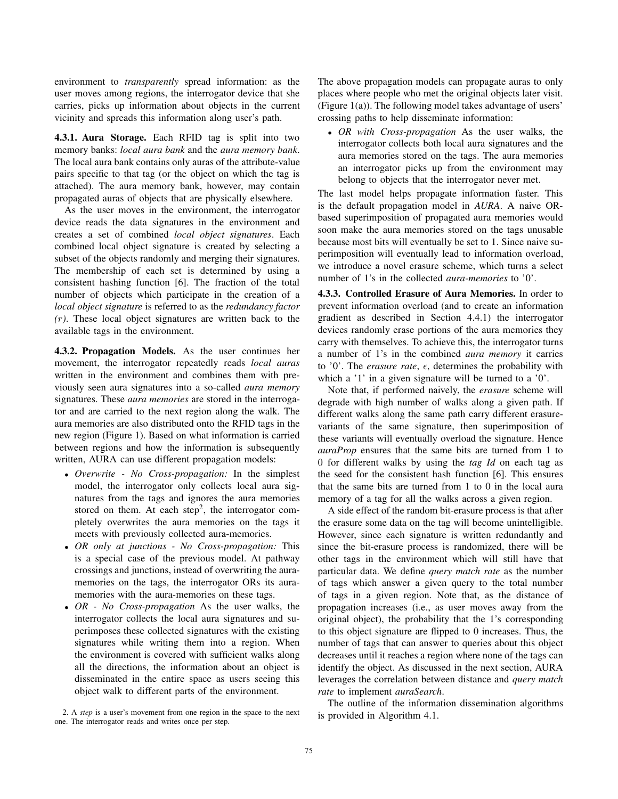environment to *transparently* spread information: as the user moves among regions, the interrogator device that she carries, picks up information about objects in the current vicinity and spreads this information along user's path.

**4.3.1. Aura Storage.** Each RFID tag is split into two memory banks: *local aura bank* and the *aura memory bank*. The local aura bank contains only auras of the attribute-value pairs specific to that tag (or the object on which the tag is attached). The aura memory bank, however, may contain propagated auras of objects that are physically elsewhere.

As the user moves in the environment, the interrogator device reads the data signatures in the environment and creates a set of combined *local object signatures*. Each combined local object signature is created by selecting a subset of the objects randomly and merging their signatures. The membership of each set is determined by using a consistent hashing function [6]. The fraction of the total number of objects which participate in the creation of a *local object signature* is referred to as the *redundancy factor (*r*)*. These local object signatures are written back to the available tags in the environment.

**4.3.2. Propagation Models.** As the user continues her movement, the interrogator repeatedly reads *local auras* written in the environment and combines them with previously seen aura signatures into a so-called *aura memory* signatures. These *aura memories* are stored in the interrogator and are carried to the next region along the walk. The aura memories are also distributed onto the RFID tags in the new region (Figure 1). Based on what information is carried between regions and how the information is subsequently written, AURA can use different propagation models:

- *Overwrite No Cross-propagation:* In the simplest model, the interrogator only collects local aura signatures from the tags and ignores the aura memories stored on them. At each step<sup>2</sup>, the interrogator completely overwrites the aura memories on the tags it meets with previously collected aura-memories.
- *OR only at junctions No Cross-propagation:* This is a special case of the previous model. At pathway crossings and junctions, instead of overwriting the auramemories on the tags, the interrogator ORs its auramemories with the aura-memories on these tags.
- *OR No Cross-propagation* As the user walks, the interrogator collects the local aura signatures and superimposes these collected signatures with the existing signatures while writing them into a region. When the environment is covered with sufficient walks along all the directions, the information about an object is disseminated in the entire space as users seeing this object walk to different parts of the environment.

2. A *step* is a user's movement from one region in the space to the next one. The interrogator reads and writes once per step.

The above propagation models can propagate auras to only places where people who met the original objects later visit. (Figure 1(a)). The following model takes advantage of users' crossing paths to help disseminate information:

• *OR with Cross-propagation* As the user walks, the interrogator collects both local aura signatures and the aura memories stored on the tags. The aura memories an interrogator picks up from the environment may belong to objects that the interrogator never met.

The last model helps propagate information faster. This is the default propagation model in *AURA*. A naive ORbased superimposition of propagated aura memories would soon make the aura memories stored on the tags unusable because most bits will eventually be set to 1. Since naive superimposition will eventually lead to information overload, we introduce a novel erasure scheme, which turns a select number of 1's in the collected *aura-memories* to '0'.

**4.3.3. Controlled Erasure of Aura Memories.** In order to prevent information overload (and to create an information gradient as described in Section 4.4.1) the interrogator devices randomly erase portions of the aura memories they carry with themselves. To achieve this, the interrogator turns a number of 1's in the combined *aura memory* it carries to '0'. The *erasure rate*,  $\epsilon$ , determines the probability with which a '1' in a given signature will be turned to a '0'.

Note that, if performed naively, the *erasure* scheme will degrade with high number of walks along a given path. If different walks along the same path carry different erasurevariants of the same signature, then superimposition of these variants will eventually overload the signature. Hence *auraProp* ensures that the same bits are turned from 1 to 0 for different walks by using the *tag Id* on each tag as the seed for the consistent hash function [6]. This ensures that the same bits are turned from 1 to 0 in the local aura memory of a tag for all the walks across a given region.

A side effect of the random bit-erasure process is that after the erasure some data on the tag will become unintelligible. However, since each signature is written redundantly and since the bit-erasure process is randomized, there will be other tags in the environment which will still have that particular data. We define *query match rate* as the number of tags which answer a given query to the total number of tags in a given region. Note that, as the distance of propagation increases (i.e., as user moves away from the original object), the probability that the 1's corresponding to this object signature are flipped to 0 increases. Thus, the number of tags that can answer to queries about this object decreases until it reaches a region where none of the tags can identify the object. As discussed in the next section, AURA leverages the correlation between distance and *query match rate* to implement *auraSearch*.

The outline of the information dissemination algorithms is provided in Algorithm 4.1.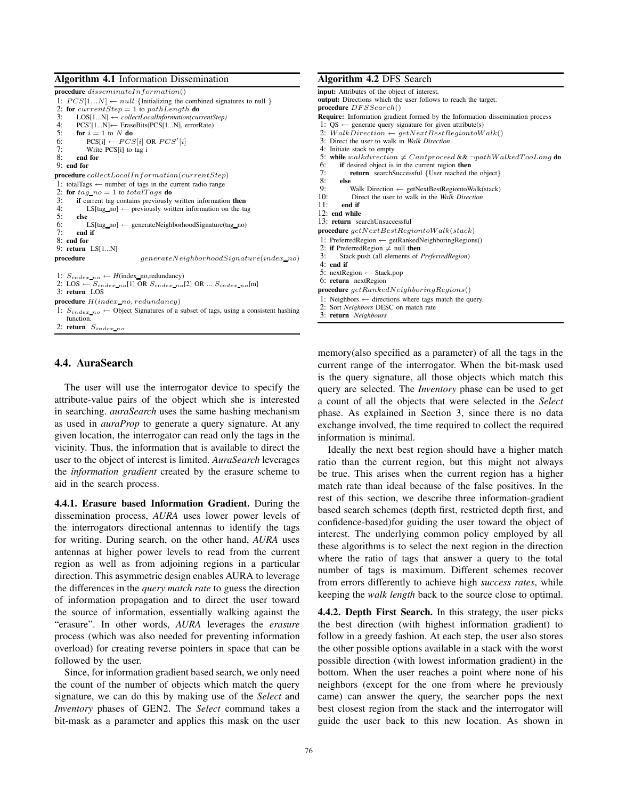### **Algorithm 4.1** Information Dissemination

**procedure** disseminateInformation() 1:  $PCS[1...N] \leftarrow null$  {Initializing the combined signatures to null } 2: **for**  $currentStep = 1$  to  $pathLength$  **do**<br>3:  $\text{LOS}[1...N] \leftarrow collectLocalInformation(cur)$ 3:  $\text{LOS}[1..N] \leftarrow collectLocalInformation(currentStep)$ <br>4.  $\text{PCS}^{\dagger}[1..N] \leftarrow \text{FraseRits(PCS}[1..N] \cdot \text{errorRate})$ 4: PCS'[1...N]← EraseBits(PCS[1...N], errorRate)<br>5: **for**  $i = 1$  to N **do** 5: **for**  $i = 1$  to N **do**<br>6: **PCS**[i]  $\leftarrow PCS$ 6: PCS[i]  $\leftarrow PCS[i]$  OR  $PCS'[i]$ 7: Write PCS[i] to tag i<br>8: end for 8: **end for** 9: **end for procedure** collectLocalInf ormation(currentStep) 1: totalTags  $\leftarrow$  number of tags in the current radio range 2: **for**  $tagno = 1$  to  $totalTags$  **do**<br>3: **if** current tag contains previously 3: **if** current tag contains previously written information **then**<br>4: **I**SItag nol  $\leftarrow$  previously written information on the ta  $LS[tag\_no] \leftarrow$  previously written information on the tag 5: **else**  $LS[tag \n  $no] \leftarrow \text{generateNeighbourhoodS}$ ignature(tag no)$ 7: **end if** 8: **end for** 9: **return** LS[1...N] **procedure** generate NeighborhoodSignature(index no) 1:  $S_{index\ no}$  ← *H*(index\_no,redundancy)<br>2: LOS ←  $S_{index\ no}[1]$  OR  $S_{index\ no}[2]$  OR ...  $S_{index\ no}[m]$ 3: **return** LOS  $procedure H(index\_no, redundancy)$ 1: S*index no* ← Object Signatures of a subset of tags, using a consistent hashing function. 2: **return** S*index no*

# **4.4. AuraSearch**

The user will use the interrogator device to specify the attribute-value pairs of the object which she is interested in searching. *auraSearch* uses the same hashing mechanism as used in *auraProp* to generate a query signature. At any given location, the interrogator can read only the tags in the vicinity. Thus, the information that is available to direct the user to the object of interest is limited. *AuraSearch* leverages the *information gradient* created by the erasure scheme to aid in the search process.

**4.4.1. Erasure based Information Gradient.** During the dissemination process, *AURA* uses lower power levels of the interrogators directional antennas to identify the tags for writing. During search, on the other hand, *AURA* uses antennas at higher power levels to read from the current region as well as from adjoining regions in a particular direction. This asymmetric design enables AURA to leverage the differences in the *query match rate* to guess the direction of information propagation and to direct the user toward the source of information, essentially walking against the "erasure". In other words, *AURA* leverages the *erasure* process (which was also needed for preventing information overload) for creating reverse pointers in space that can be followed by the user.

Since, for information gradient based search, we only need the count of the number of objects which match the query signature, we can do this by making use of the *Select* and *Inventory* phases of GEN2. The *Select* command takes a bit-mask as a parameter and applies this mask on the user

#### **Algorithm 4.2** DFS Search **input:** Attributes of the object of interest. **output:** Directions which the user follows to reach the target. **procedure**  $DFSSearch()$ **Require:** Information gradient formed by the Information dissemination process 1:  $QS \leftarrow$  generate query signature for given attribute(s) 2:  $WalkDirection \leftarrow getNextBestRegion (Walk)$ 3: Direct the user to walk in *Walk Direction* Initiate stack to empty 5: **while** walkdirection  $\neq$  Cantproceed &&  $\neg pathWalker$  *ooLong* **do** 6: **if** desired object is in the current region **then** 6: **if** desired object is in the current region **then** 7: **return** searchSuccessful {User reached the object}<br>8: **else** 8: **else** 9: Walk Direction ← getNextBestRegiontoWalk(stack) 10: Direct the user to walk in the Walk Direction 10: Direct the user to walk in the *Walk Direction* end if 12: **end while** 13: **return** searchUnsuccessful **procedure** getN extBestRegiontoW alk(stack) 1: PreferredRegion ← getRankedNeighboringRegions()<br>2: if PreferredRegion  $\neq$  null then 2: **if** PreferredRegion  $\neq$  null **then**<br>3: Stack push (all elements of *i* Stack.push (all elements of *PreferredRegion*) 4: **end if** 5: nextRegion ← Stack.pop 6: **return** nextRegion **procedure** getRankedN eighboringRegions() 1: Neighbors ← directions where tags match the query. 2: Sort *Neighbors* DESC on match rate 3: **return** *Neighbours*

memory(also specified as a parameter) of all the tags in the current range of the interrogator. When the bit-mask used is the query signature, all those objects which match this query are selected. The *Inventory* phase can be used to get a count of all the objects that were selected in the *Select* phase. As explained in Section 3, since there is no data exchange involved, the time required to collect the required information is minimal.

Ideally the next best region should have a higher match ratio than the current region, but this might not always be true. This arises when the current region has a higher match rate than ideal because of the false positives. In the rest of this section, we describe three information-gradient based search schemes (depth first, restricted depth first, and confidence-based)for guiding the user toward the object of interest. The underlying common policy employed by all these algorithms is to select the next region in the direction where the ratio of tags that answer a query to the total number of tags is maximum. Different schemes recover from errors differently to achieve high *success rates*, while keeping the *walk length* back to the source close to optimal.

**4.4.2. Depth First Search.** In this strategy, the user picks the best direction (with highest information gradient) to follow in a greedy fashion. At each step, the user also stores the other possible options available in a stack with the worst possible direction (with lowest information gradient) in the bottom. When the user reaches a point where none of his neighbors (except for the one from where he previously came) can answer the query, the searcher pops the next best closest region from the stack and the interrogator will guide the user back to this new location. As shown in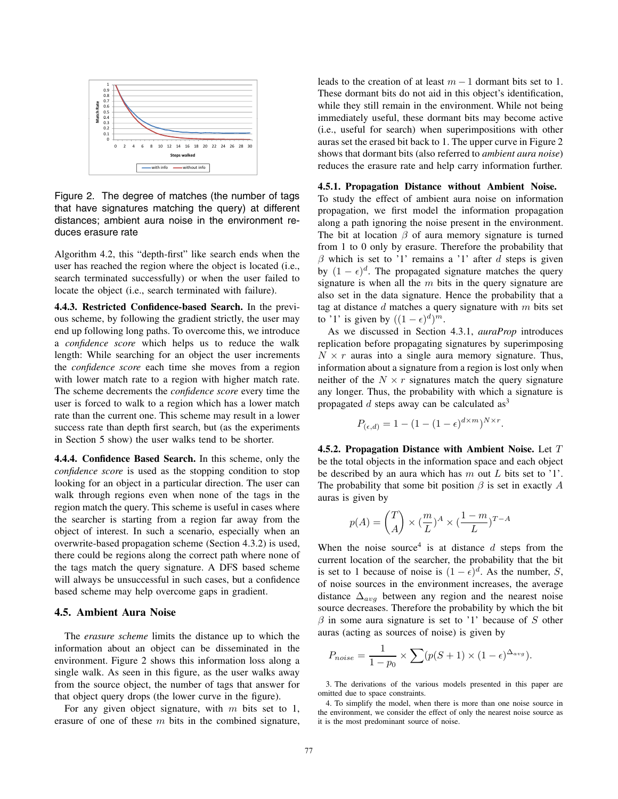

Figure 2. The degree of matches (the number of tags that have signatures matching the query) at different distances; ambient aura noise in the environment reduces erasure rate

Algorithm 4.2, this "depth-first" like search ends when the user has reached the region where the object is located (i.e., search terminated successfully) or when the user failed to locate the object (i.e., search terminated with failure).

**4.4.3. Restricted Confidence-based Search.** In the previous scheme, by following the gradient strictly, the user may end up following long paths. To overcome this, we introduce a *confidence score* which helps us to reduce the walk length: While searching for an object the user increments the *confidence score* each time she moves from a region with lower match rate to a region with higher match rate. The scheme decrements the *confidence score* every time the user is forced to walk to a region which has a lower match rate than the current one. This scheme may result in a lower success rate than depth first search, but (as the experiments in Section 5 show) the user walks tend to be shorter.

**4.4.4. Confidence Based Search.** In this scheme, only the *confidence score* is used as the stopping condition to stop looking for an object in a particular direction. The user can walk through regions even when none of the tags in the region match the query. This scheme is useful in cases where the searcher is starting from a region far away from the object of interest. In such a scenario, especially when an overwrite-based propagation scheme (Section 4.3.2) is used, there could be regions along the correct path where none of the tags match the query signature. A DFS based scheme will always be unsuccessful in such cases, but a confidence based scheme may help overcome gaps in gradient.

### **4.5. Ambient Aura Noise**

The *erasure scheme* limits the distance up to which the information about an object can be disseminated in the environment. Figure 2 shows this information loss along a single walk. As seen in this figure, as the user walks away from the source object, the number of tags that answer for that object query drops (the lower curve in the figure).

For any given object signature, with  $m$  bits set to 1, erasure of one of these  $m$  bits in the combined signature, leads to the creation of at least  $m - 1$  dormant bits set to 1. These dormant bits do not aid in this object's identification, while they still remain in the environment. While not being immediately useful, these dormant bits may become active (i.e., useful for search) when superimpositions with other auras set the erased bit back to 1. The upper curve in Figure 2 shows that dormant bits (also referred to *ambient aura noise*) reduces the erasure rate and help carry information further.

### **4.5.1. Propagation Distance without Ambient Noise.**

To study the effect of ambient aura noise on information propagation, we first model the information propagation along a path ignoring the noise present in the environment. The bit at location  $\beta$  of aura memory signature is turned from 1 to 0 only by erasure. Therefore the probability that  $\beta$  which is set to '1' remains a '1' after d steps is given by  $(1 - \epsilon)^d$ . The propagated signature matches the query signature is when all the  $m$  bits in the query signature are also set in the data signature. Hence the probability that a tag at distance  $d$  matches a query signature with  $m$  bits set to '1' is given by  $((1 - \epsilon)^d)^m$ .

As we discussed in Section 4.3.1, *auraProp* introduces replication before propagating signatures by superimposing  $N \times r$  auras into a single aura memory signature. Thus, information about a signature from a region is lost only when neither of the  $N \times r$  signatures match the query signature any longer. Thus, the probability with which a signature is propagated  $d$  steps away can be calculated as<sup>3</sup>

$$
P_{(\epsilon,d)} = 1 - (1 - (1 - \epsilon)^{d \times m})^{N \times r}.
$$

**4.5.2. Propagation Distance with Ambient Noise.** Let T be the total objects in the information space and each object be described by an aura which has  $m$  out  $L$  bits set to '1'. The probability that some bit position  $\beta$  is set in exactly A auras is given by

$$
p(A) = {T \choose A} \times (\frac{m}{L})^A \times (\frac{1-m}{L})^{T-A}
$$

When the noise source<sup>4</sup> is at distance  $d$  steps from the current location of the searcher, the probability that the bit is set to 1 because of noise is  $(1 - \epsilon)^d$ . As the number, S, of noise sources in the environment increases, the average distance  $\Delta_{avg}$  between any region and the nearest noise source decreases. Therefore the probability by which the bit  $\beta$  in some aura signature is set to '1' because of S other auras (acting as sources of noise) is given by

$$
P_{noise} = \frac{1}{1 - p_0} \times \sum (p(S+1) \times (1 - \epsilon)^{\Delta_{avg}}).
$$

3. The derivations of the various models presented in this paper are omitted due to space constraints.

<sup>4.</sup> To simplify the model, when there is more than one noise source in the environment, we consider the effect of only the nearest noise source as it is the most predominant source of noise.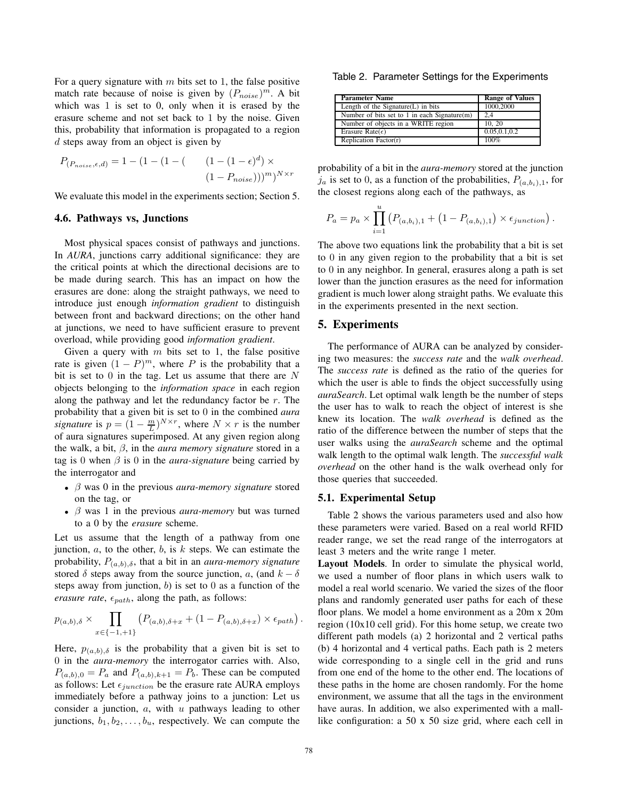For a query signature with  $m$  bits set to 1, the false positive match rate because of noise is given by  $(P_{noise})^m$ . A bit which was 1 is set to 0, only when it is erased by the erasure scheme and not set back to 1 by the noise. Given this, probability that information is propagated to a region d steps away from an object is given by

$$
P_{(P_{noise}, \epsilon, d)} = 1 - (1 - (1 - ((1 - (1 - \epsilon)^d) \times (1 - P_{noise})))^m)^{N \times r}
$$

We evaluate this model in the experiments section; Section 5.

### **4.6. Pathways vs, Junctions**

Most physical spaces consist of pathways and junctions. In *AURA*, junctions carry additional significance: they are the critical points at which the directional decisions are to be made during search. This has an impact on how the erasures are done: along the straight pathways, we need to introduce just enough *information gradient* to distinguish between front and backward directions; on the other hand at junctions, we need to have sufficient erasure to prevent overload, while providing good *information gradient*.

Given a query with  $m$  bits set to 1, the false positive rate is given  $(1 - P)^m$ , where P is the probability that a bit is set to  $0$  in the tag. Let us assume that there are  $N$ objects belonging to the *information space* in each region along the pathway and let the redundancy factor be r. The probability that a given bit is set to 0 in the combined *aura signature* is  $p = (1 - \frac{m}{L})^{N \times r}$ , where  $N \times r$  is the number of aura signatures superimposed. At any given region along the walk, a bit, β, in the *aura memory signature* stored in a tag is 0 when β is 0 in the *aura-signature* being carried by the interrogator and

- β was 0 in the previous *aura-memory signature* stored on the tag, or
- $\beta$  was 1 in the previous *aura-memory* but was turned to a 0 by the *erasure* scheme.

Let us assume that the length of a pathway from one junction,  $a$ , to the other,  $b$ , is  $k$  steps. We can estimate the probability,  $P_{(a,b),\delta}$ , that a bit in an *aura-memory signature* stored  $\delta$  steps away from the source junction, a, (and  $k - \delta$ steps away from junction,  $b$ ) is set to 0 as a function of the *erasure rate*,  $\epsilon_{path}$ , along the path, as follows:

$$
p_{(a,b),\delta} \times \prod_{x \in \{-1,+1\}} \left( P_{(a,b),\delta+x} + (1 - P_{(a,b),\delta+x}) \times \epsilon_{path} \right).
$$

Here,  $p_{(a,b),\delta}$  is the probability that a given bit is set to 0 in the *aura-memory* the interrogator carries with. Also,  $P_{(a,b),0} = P_a$  and  $P_{(a,b),k+1} = P_b$ . These can be computed as follows: Let  $\epsilon_{junction}$  be the erasure rate AURA employs immediately before a pathway joins to a junction: Let us consider a junction,  $a$ , with  $u$  pathways leading to other junctions,  $b_1, b_2, \ldots, b_u$ , respectively. We can compute the

Table 2. Parameter Settings for the Experiments

| <b>Parameter Name</b>                           | <b>Range of Values</b> |
|-------------------------------------------------|------------------------|
| Length of the Signature(L) in bits              | 1000.2000              |
| Number of bits set to 1 in each Signature $(m)$ | 2.4                    |
| Number of objects in a WRITE region             | 10.20                  |
| Erasure Rate( $\epsilon$ )                      | 0.05, 0.1, 0.2         |
| Replication Factor(r)                           | 100%                   |

probability of a bit in the *aura-memory* stored at the junction  $j_a$  is set to 0, as a function of the probabilities,  $P_{(a,b_i),1}$ , for the closest regions along each of the pathways, as

$$
P_a = p_a \times \prod_{i=1}^u (P_{(a,b_i),1} + (1 - P_{(a,b_i),1}) \times \epsilon_{junction}).
$$

The above two equations link the probability that a bit is set to 0 in any given region to the probability that a bit is set to 0 in any neighbor. In general, erasures along a path is set lower than the junction erasures as the need for information gradient is much lower along straight paths. We evaluate this in the experiments presented in the next section.

### **5. Experiments**

The performance of AURA can be analyzed by considering two measures: the *success rate* and the *walk overhead*. The *success rate* is defined as the ratio of the queries for which the user is able to finds the object successfully using *auraSearch*. Let optimal walk length be the number of steps the user has to walk to reach the object of interest is she knew its location. The *walk overhead* is defined as the ratio of the difference between the number of steps that the user walks using the *auraSearch* scheme and the optimal walk length to the optimal walk length. The *successful walk overhead* on the other hand is the walk overhead only for those queries that succeeded.

### **5.1. Experimental Setup**

Table 2 shows the various parameters used and also how these parameters were varied. Based on a real world RFID reader range, we set the read range of the interrogators at least 3 meters and the write range 1 meter.

**Layout Models**. In order to simulate the physical world, we used a number of floor plans in which users walk to model a real world scenario. We varied the sizes of the floor plans and randomly generated user paths for each of these floor plans. We model a home environment as a 20m x 20m region (10x10 cell grid). For this home setup, we create two different path models (a) 2 horizontal and 2 vertical paths (b) 4 horizontal and 4 vertical paths. Each path is 2 meters wide corresponding to a single cell in the grid and runs from one end of the home to the other end. The locations of these paths in the home are chosen randomly. For the home environment, we assume that all the tags in the environment have auras. In addition, we also experimented with a malllike configuration: a 50 x 50 size grid, where each cell in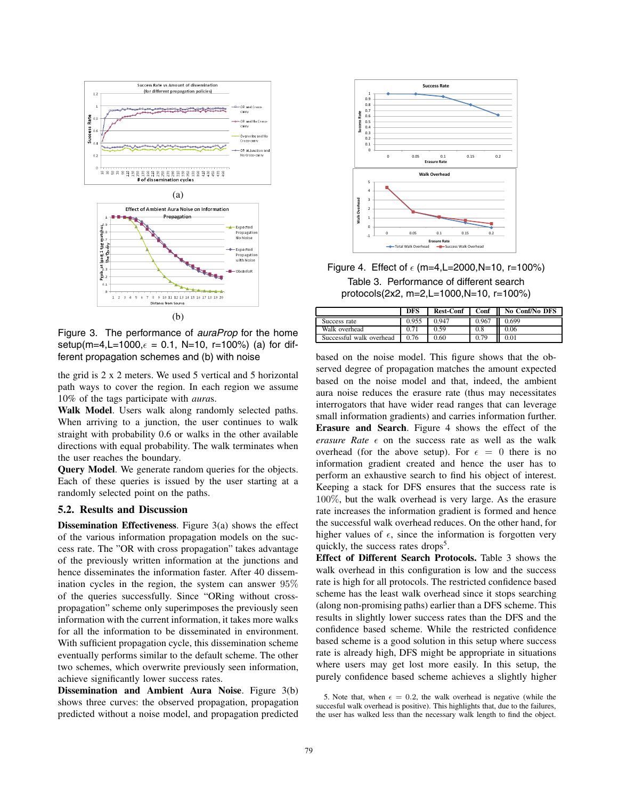

Figure 3. The performance of auraProp for the home setup(m=4,L=1000, $\epsilon$  = 0.1, N=10, r=100%) (a) for different propagation schemes and (b) with noise

the grid is 2 x 2 meters. We used 5 vertical and 5 horizontal path ways to cover the region. In each region we assume 10% of the tags participate with *aura*s.

**Walk Model**. Users walk along randomly selected paths. When arriving to a junction, the user continues to walk straight with probability 0.6 or walks in the other available directions with equal probability. The walk terminates when the user reaches the boundary.

**Query Model**. We generate random queries for the objects. Each of these queries is issued by the user starting at a randomly selected point on the paths.

# **5.2. Results and Discussion**

**Dissemination Effectiveness**. Figure 3(a) shows the effect of the various information propagation models on the success rate. The "OR with cross propagation" takes advantage of the previously written information at the junctions and hence disseminates the information faster. After 40 dissemination cycles in the region, the system can answer 95% of the queries successfully. Since "ORing without crosspropagation" scheme only superimposes the previously seen information with the current information, it takes more walks for all the information to be disseminated in environment. With sufficient propagation cycle, this dissemination scheme eventually performs similar to the default scheme. The other two schemes, which overwrite previously seen information, achieve significantly lower success rates.

**Dissemination and Ambient Aura Noise**. Figure 3(b) shows three curves: the observed propagation, propagation predicted without a noise model, and propagation predicted



Figure 4. Effect of  $\epsilon$  (m=4,L=2000,N=10, r=100%) Table 3. Performance of different search protocols(2x2, m=2,L=1000,N=10, r=100%)

|                          | <b>DFS</b> | <b>Rest-Conf</b> | Conf II | No Conf/No DFS |
|--------------------------|------------|------------------|---------|----------------|
| Success rate             | 0.955      | 0.947            | 0.967   | 0.699          |
| Walk overhead            | 0.71       | 0.59             | 0.8     | 0.06           |
| Successful walk overhead | 0.76       | 0.60             | 0.79    |                |

based on the noise model. This figure shows that the observed degree of propagation matches the amount expected based on the noise model and that, indeed, the ambient aura noise reduces the erasure rate (thus may necessitates interrogators that have wider read ranges that can leverage small information gradients) and carries information further. **Erasure and Search**. Figure 4 shows the effect of the *erasure Rate*  $\epsilon$  on the success rate as well as the walk overhead (for the above setup). For  $\epsilon = 0$  there is no information gradient created and hence the user has to perform an exhaustive search to find his object of interest. Keeping a stack for DFS ensures that the success rate is 100%, but the walk overhead is very large. As the erasure rate increases the information gradient is formed and hence the successful walk overhead reduces. On the other hand, for higher values of  $\epsilon$ , since the information is forgotten very quickly, the success rates drops<sup>5</sup>.

**Effect of Different Search Protocols.** Table 3 shows the walk overhead in this configuration is low and the success rate is high for all protocols. The restricted confidence based scheme has the least walk overhead since it stops searching (along non-promising paths) earlier than a DFS scheme. This results in slightly lower success rates than the DFS and the confidence based scheme. While the restricted confidence based scheme is a good solution in this setup where success rate is already high, DFS might be appropriate in situations where users may get lost more easily. In this setup, the purely confidence based scheme achieves a slightly higher

<sup>5.</sup> Note that, when  $\epsilon = 0.2$ , the walk overhead is negative (while the succesful walk overhead is positive). This highlights that, due to the failures, the user has walked less than the necessary walk length to find the object.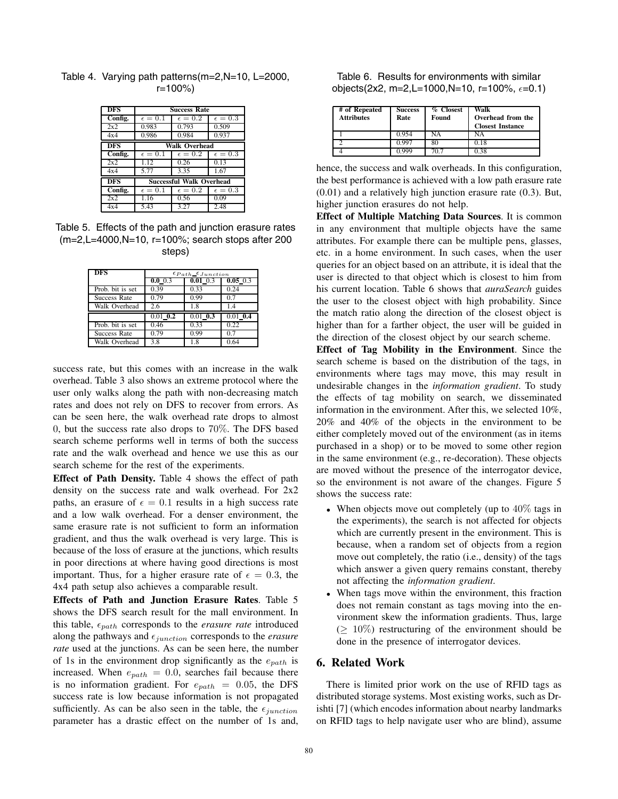| <b>DFS</b> | <b>Success Rate</b>             |                  |                |
|------------|---------------------------------|------------------|----------------|
| Config.    | $\epsilon=0.1$                  | $\epsilon = 0.2$ | $\epsilon=0.3$ |
| 2x2        | 0.983                           | 0.793            | 0.509          |
| 4x4        | 0.986                           | 0.984            | 0.937          |
| <b>DFS</b> | <b>Walk Overhead</b>            |                  |                |
| Config.    | $\epsilon = 0.1$                | $\epsilon=0.2$   | $\epsilon=0.3$ |
| 2x2        | 1.12                            | 0.26             | 0.13           |
| 4x4        | 5.77                            | 3.35             | 1.67           |
| <b>DFS</b> | <b>Successful Walk Overhead</b> |                  |                |
| Config.    | $\epsilon=0.1$                  | $\epsilon=0.2$   | $\epsilon=0.3$ |
| 2x2        | 1.16                            | 0.56             | 0.09           |
| 4x4        | 5.43                            | 3.27             | 2.48           |

Table 4. Varying path patterns(m=2,N=10, L=2000, r=100%)

Table 5. Effects of the path and junction erasure rates (m=2,L=4000,N=10, r=100%; search stops after 200 steps)

| <b>DFS</b>          | $\epsilon_{Path}$ $\epsilon_{Junction}$ |             |                       |
|---------------------|-----------------------------------------|-------------|-----------------------|
|                     | 0.0 0.3                                 | $0.01\_0.3$ | $0.05 - 0.3$          |
| Prob. bit is set    | 0.39                                    | 0.33        | 0.24                  |
| <b>Success Rate</b> | 0.79                                    | 0.99        | 0.7                   |
| Walk Overhead       | 2.6                                     | 1.8         | 1.4                   |
|                     | $\overline{0.01}$ 0.2                   | $0.01$ 0.3  | $\overline{0.01}$ 0.4 |
| Prob. bit is set    | 0.46                                    | 0.33        | 0.22                  |
| <b>Success Rate</b> | 0.79                                    | 0.99        | 07                    |
| Walk Overhead       | 3.8                                     |             | 0.64                  |

success rate, but this comes with an increase in the walk overhead. Table 3 also shows an extreme protocol where the user only walks along the path with non-decreasing match rates and does not rely on DFS to recover from errors. As can be seen here, the walk overhead rate drops to almost 0, but the success rate also drops to 70%. The DFS based search scheme performs well in terms of both the success rate and the walk overhead and hence we use this as our search scheme for the rest of the experiments.

**Effect of Path Density.** Table 4 shows the effect of path density on the success rate and walk overhead. For 2x2 paths, an erasure of  $\epsilon = 0.1$  results in a high success rate and a low walk overhead. For a denser environment, the same erasure rate is not sufficient to form an information gradient, and thus the walk overhead is very large. This is because of the loss of erasure at the junctions, which results in poor directions at where having good directions is most important. Thus, for a higher erasure rate of  $\epsilon = 0.3$ , the 4x4 path setup also achieves a comparable result.

**Effects of Path and Junction Erasure Rates**. Table 5 shows the DFS search result for the mall environment. In this table,  $\epsilon_{path}$  corresponds to the *erasure rate* introduced along the pathways and  $\epsilon_{junction}$  corresponds to the *erasure rate* used at the junctions. As can be seen here, the number of 1s in the environment drop significantly as the  $e_{path}$  is increased. When  $e_{path} = 0.0$ , searches fail because there is no information gradient. For  $e_{path} = 0.05$ , the DFS success rate is low because information is not propagated sufficiently. As can be also seen in the table, the  $\epsilon_{junction}$ parameter has a drastic effect on the number of 1s and,

Table 6. Results for environments with similar objects(2x2, m=2,L=1000,N=10, r=100%,  $\epsilon$ =0.1)

| # of Repeated<br><b>Attributes</b> | <b>Success</b><br>Rate | % Closest<br>Found | Walk<br>Overhead from the<br><b>Closest Instance</b> |
|------------------------------------|------------------------|--------------------|------------------------------------------------------|
|                                    | 0.954                  | NA                 | NA                                                   |
|                                    | 0.997                  |                    | 0.18                                                 |
|                                    |                        | 70 7               | በ 38                                                 |

hence, the success and walk overheads. In this configuration, the best performance is achieved with a low path erasure rate (0.01) and a relatively high junction erasure rate (0.3). But, higher junction erasures do not help.

**Effect of Multiple Matching Data Sources**. It is common in any environment that multiple objects have the same attributes. For example there can be multiple pens, glasses, etc. in a home environment. In such cases, when the user queries for an object based on an attribute, it is ideal that the user is directed to that object which is closest to him from his current location. Table 6 shows that *auraSearch* guides the user to the closest object with high probability. Since the match ratio along the direction of the closest object is higher than for a farther object, the user will be guided in the direction of the closest object by our search scheme.

**Effect of Tag Mobility in the Environment**. Since the search scheme is based on the distribution of the tags, in environments where tags may move, this may result in undesirable changes in the *information gradient*. To study the effects of tag mobility on search, we disseminated information in the environment. After this, we selected 10%, 20% and 40% of the objects in the environment to be either completely moved out of the environment (as in items purchased in a shop) or to be moved to some other region in the same environment (e.g., re-decoration). These objects are moved without the presence of the interrogator device, so the environment is not aware of the changes. Figure 5 shows the success rate:

- When objects move out completely (up to  $40\%$  tags in the experiments), the search is not affected for objects which are currently present in the environment. This is because, when a random set of objects from a region move out completely, the ratio (i.e., density) of the tags which answer a given query remains constant, thereby not affecting the *information gradient*.
- When tags move within the environment, this fraction does not remain constant as tags moving into the environment skew the information gradients. Thus, large  $( \geq 10\%)$  restructuring of the environment should be done in the presence of interrogator devices.

# **6. Related Work**

There is limited prior work on the use of RFID tags as distributed storage systems. Most existing works, such as Drishti [7] (which encodes information about nearby landmarks on RFID tags to help navigate user who are blind), assume